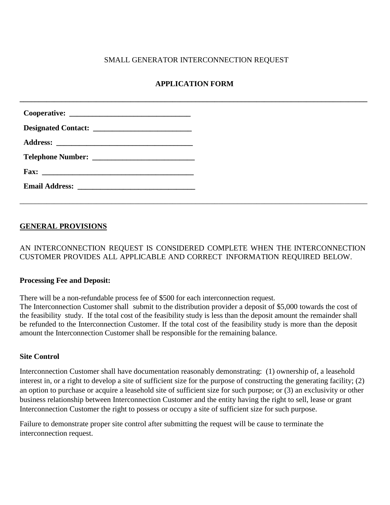### SMALL GENERATOR INTERCONNECTION REQUEST

## **APPLICATION FORM**

**\_\_\_\_\_\_\_\_\_\_\_\_\_\_\_\_\_\_\_\_\_\_\_\_\_\_\_\_\_\_\_\_\_\_\_\_\_\_\_\_\_\_\_\_\_\_\_\_\_\_\_\_\_\_\_\_\_\_\_\_\_\_\_\_\_\_\_\_\_\_\_\_\_\_\_\_\_\_\_\_\_\_\_\_\_\_\_\_\_\_\_**

| Fax: $\qquad \qquad$ |
|----------------------|
|                      |

## **GENERAL PROVISIONS**

AN INTERCONNECTION REQUEST IS CONSIDERED COMPLETE WHEN THE INTERCONNECTION CUSTOMER PROVIDES ALL APPLICABLE AND CORRECT INFORMATION REQUIRED BELOW.

\_\_\_\_\_\_\_\_\_\_\_\_\_\_\_\_\_\_\_\_\_\_\_\_\_\_\_\_\_\_\_\_\_\_\_\_\_\_\_\_\_\_\_\_\_\_\_\_\_\_\_\_\_\_\_\_\_\_\_\_\_\_\_\_\_\_\_\_\_\_\_\_\_\_\_\_\_\_\_\_\_\_\_\_\_\_\_\_\_\_\_

#### **Processing Fee and Deposit:**

There will be a non-refundable process fee of \$500 for each interconnection request.

The Interconnection Customer shall submit to the distribution provider a deposit of \$5,000 towards the cost of the feasibility study. If the total cost of the feasibility study is less than the deposit amount the remainder shall be refunded to the Interconnection Customer. If the total cost of the feasibility study is more than the deposit amount the Interconnection Customer shall be responsible for the remaining balance.

### **Site Control**

Interconnection Customer shall have documentation reasonably demonstrating: (1) ownership of, a leasehold interest in, or a right to develop a site of sufficient size for the purpose of constructing the generating facility; (2) an option to purchase or acquire a leasehold site of sufficient size for such purpose; or (3) an exclusivity or other business relationship between Interconnection Customer and the entity having the right to sell, lease or grant Interconnection Customer the right to possess or occupy a site of sufficient size for such purpose.

Failure to demonstrate proper site control after submitting the request will be cause to terminate the interconnection request.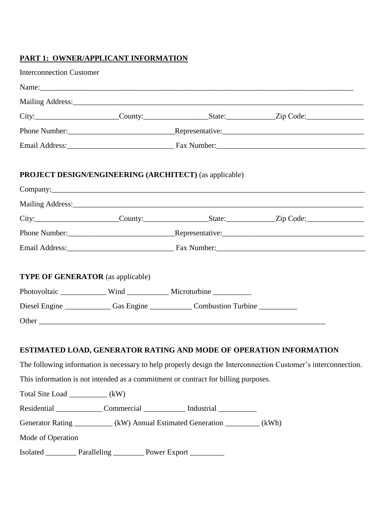## **PART 1: OWNER/APPLICANT INFORMATION**

| <b>Interconnection Customer</b>  |                                                                         |                                                                                                                                                                                  |                                                                                                                                                                                      |
|----------------------------------|-------------------------------------------------------------------------|----------------------------------------------------------------------------------------------------------------------------------------------------------------------------------|--------------------------------------------------------------------------------------------------------------------------------------------------------------------------------------|
|                                  |                                                                         | Name:                                                                                                                                                                            |                                                                                                                                                                                      |
|                                  |                                                                         |                                                                                                                                                                                  |                                                                                                                                                                                      |
|                                  |                                                                         |                                                                                                                                                                                  |                                                                                                                                                                                      |
|                                  |                                                                         |                                                                                                                                                                                  |                                                                                                                                                                                      |
|                                  |                                                                         |                                                                                                                                                                                  |                                                                                                                                                                                      |
|                                  |                                                                         | <b>PROJECT DESIGN/ENGINEERING (ARCHITECT) (as applicable)</b>                                                                                                                    |                                                                                                                                                                                      |
|                                  |                                                                         |                                                                                                                                                                                  |                                                                                                                                                                                      |
|                                  |                                                                         |                                                                                                                                                                                  |                                                                                                                                                                                      |
|                                  |                                                                         |                                                                                                                                                                                  | City: City: County: County: County: County: County: City: Code:                                                                                                                      |
|                                  |                                                                         |                                                                                                                                                                                  |                                                                                                                                                                                      |
|                                  |                                                                         |                                                                                                                                                                                  |                                                                                                                                                                                      |
|                                  | <b>TYPE OF GENERATOR</b> (as applicable)                                | Photovoltaic _______________ Wind _____________ Microturbine ____________<br>Diesel Engine _______________Gas Engine _________________Combustion Turbine _______________________ |                                                                                                                                                                                      |
|                                  |                                                                         |                                                                                                                                                                                  |                                                                                                                                                                                      |
|                                  |                                                                         |                                                                                                                                                                                  | ESTIMATED LOAD, GENERATOR RATING AND MODE OF OPERATION INFORMATION<br>The following information is necessary to help properly design the Interconnection Customer's interconnection. |
|                                  |                                                                         | This information is not intended as a commitment or contract for billing purposes.                                                                                               |                                                                                                                                                                                      |
| Total Site Load ____________(kW) |                                                                         |                                                                                                                                                                                  |                                                                                                                                                                                      |
|                                  |                                                                         | Residential _________________ Commercial ______________ Industrial _____________                                                                                                 |                                                                                                                                                                                      |
|                                  |                                                                         | Generator Rating ___________ (kW) Annual Estimated Generation _________ (kWh)                                                                                                    |                                                                                                                                                                                      |
| Mode of Operation                |                                                                         |                                                                                                                                                                                  |                                                                                                                                                                                      |
|                                  | Isolated ____________ Paralleling ____________ Power Export ___________ |                                                                                                                                                                                  |                                                                                                                                                                                      |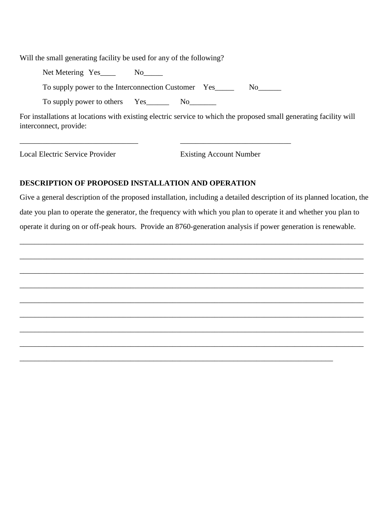Will the small generating facility be used for any of the following?

Net Metering Yes \_\_\_\_ No\_\_\_\_

To supply power to the Interconnection Customer Yes\_\_\_\_\_\_\_ No\_\_\_\_\_\_

\_\_\_\_\_\_\_\_\_\_\_\_\_\_\_\_\_\_\_\_\_\_\_\_\_\_\_\_\_\_\_ \_\_\_\_\_\_\_\_\_\_\_\_\_\_\_\_\_\_\_\_\_\_\_\_\_\_\_\_\_

To supply power to others Yes\_\_\_\_\_\_\_ No\_\_\_\_\_\_\_

For installations at locations with existing electric service to which the proposed small generating facility will interconnect, provide:

Local Electric Service Provider Existing Account Number

## **DESCRIPTION OF PROPOSED INSTALLATION AND OPERATION**

Give a general description of the proposed installation, including a detailed description of its planned location, the date you plan to operate the generator, the frequency with which you plan to operate it and whether you plan to operate it during on or off-peak hours. Provide an 8760-generation analysis if power generation is renewable.

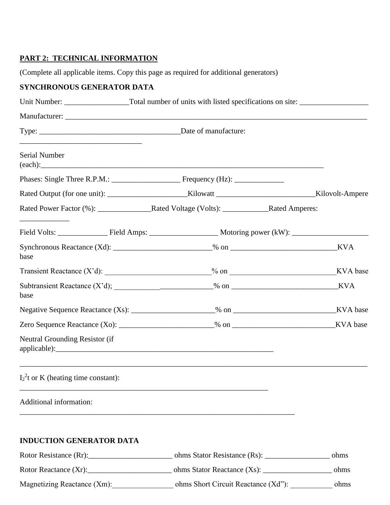## **PART 2: TECHNICAL INFORMATION**

(Complete all applicable items. Copy this page as required for additional generators)

# **SYNCHRONOUS GENERATOR DATA**

| <u> 1989 - Johann Barn, mars and de Branch Barn, mars and de Branch Barn, mars and de Branch Barn, mars and de Br</u><br>Serial Number                                                                                               |  | (each):                                                      |          |
|--------------------------------------------------------------------------------------------------------------------------------------------------------------------------------------------------------------------------------------|--|--------------------------------------------------------------|----------|
|                                                                                                                                                                                                                                      |  |                                                              |          |
|                                                                                                                                                                                                                                      |  |                                                              |          |
| <u> Listen von de Stadt von de Stadt von de Stadt von de Stadt von de Stadt von de Stadt von de Stadt von de Stadt von de Stadt von de Stadt von de Stadt von de Stadt von de Stadt von de Stadt von de Stadt von de Stadt von d</u> |  |                                                              |          |
|                                                                                                                                                                                                                                      |  |                                                              |          |
| base                                                                                                                                                                                                                                 |  |                                                              | KVA      |
|                                                                                                                                                                                                                                      |  | Transient Reactance $(X'd)$ : $\_\_\_\_\_$ % on $\_\_\_\_\_$ | KVA base |
| base                                                                                                                                                                                                                                 |  |                                                              | KVA      |
|                                                                                                                                                                                                                                      |  |                                                              |          |
|                                                                                                                                                                                                                                      |  |                                                              |          |
| Neutral Grounding Resistor (if                                                                                                                                                                                                       |  |                                                              |          |
| $I_2^2$ t or K (heating time constant):                                                                                                                                                                                              |  |                                                              |          |
| Additional information:                                                                                                                                                                                                              |  |                                                              |          |
| <b>INDUCTION GENERATOR DATA</b>                                                                                                                                                                                                      |  |                                                              |          |
|                                                                                                                                                                                                                                      |  |                                                              | ohms     |
|                                                                                                                                                                                                                                      |  |                                                              | ohms     |
| Magnetizing Reactance (Xm):                                                                                                                                                                                                          |  | ohms Short Circuit Reactance (Xd"): ________                 | ohms     |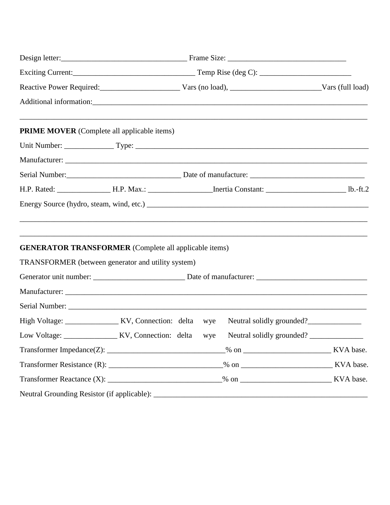| Reactive Power Required: Vars (no load), Vars (no load), Vars (Eul load)                                           |                       |     |                                                                                   |  |
|--------------------------------------------------------------------------------------------------------------------|-----------------------|-----|-----------------------------------------------------------------------------------|--|
|                                                                                                                    |                       |     |                                                                                   |  |
| <b>PRIME MOVER</b> (Complete all applicable items)                                                                 |                       |     |                                                                                   |  |
|                                                                                                                    |                       |     |                                                                                   |  |
|                                                                                                                    |                       |     |                                                                                   |  |
|                                                                                                                    |                       |     |                                                                                   |  |
|                                                                                                                    |                       |     |                                                                                   |  |
|                                                                                                                    |                       |     |                                                                                   |  |
| <b>GENERATOR TRANSFORMER</b> (Complete all applicable items)<br>TRANSFORMER (between generator and utility system) |                       |     | ,我们也不能在这里的人,我们也不能在这里的人,我们也不能在这里的人,我们也不能在这里的人,我们也不能在这里的人,我们也不能在这里的人,我们也不能在这里的人,我们也 |  |
|                                                                                                                    |                       |     |                                                                                   |  |
|                                                                                                                    |                       |     |                                                                                   |  |
|                                                                                                                    |                       |     |                                                                                   |  |
|                                                                                                                    |                       |     | Neutral solidly grounded?                                                         |  |
| Low Voltage:                                                                                                       | KV, Connection: delta | wye | Neutral solidly grounded?                                                         |  |
|                                                                                                                    |                       |     |                                                                                   |  |
|                                                                                                                    |                       |     |                                                                                   |  |
|                                                                                                                    |                       |     |                                                                                   |  |
|                                                                                                                    |                       |     |                                                                                   |  |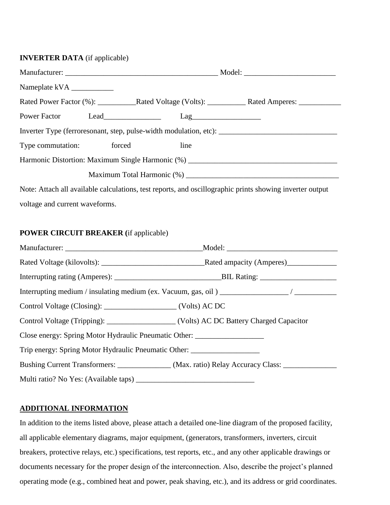### **INVERTER DATA** (if applicable)

| Power Factor Lead        | $\text{Lag}$ |                                                                                   |
|--------------------------|--------------|-----------------------------------------------------------------------------------|
|                          |              |                                                                                   |
| Type commutation: forced | line         |                                                                                   |
|                          |              | Harmonic Distortion: Maximum Single Harmonic (%) ________________________________ |
|                          |              |                                                                                   |
|                          |              |                                                                                   |

Note: Attach all available calculations, test reports, and oscillographic prints showing inverter output voltage and current waveforms.

### **POWER CIRCUIT BREAKER (**if applicable)

| Control Voltage (Tripping): _____________________ (Volts) AC DC Battery Charged Capacitor |                                                                                                     |
|-------------------------------------------------------------------------------------------|-----------------------------------------------------------------------------------------------------|
| Close energy: Spring Motor Hydraulic Pneumatic Other: __________________________          |                                                                                                     |
| Trip energy: Spring Motor Hydraulic Pneumatic Other: ____________________________         |                                                                                                     |
|                                                                                           | Bushing Current Transformers: ______________ (Max. ratio) Relay Accuracy Class: ___________________ |
|                                                                                           |                                                                                                     |

## **ADDITIONAL INFORMATION**

In addition to the items listed above, please attach a detailed one-line diagram of the proposed facility, all applicable elementary diagrams, major equipment, (generators, transformers, inverters, circuit breakers, protective relays, etc.) specifications, test reports, etc., and any other applicable drawings or documents necessary for the proper design of the interconnection. Also, describe the project's planned operating mode (e.g., combined heat and power, peak shaving, etc.), and its address or grid coordinates.